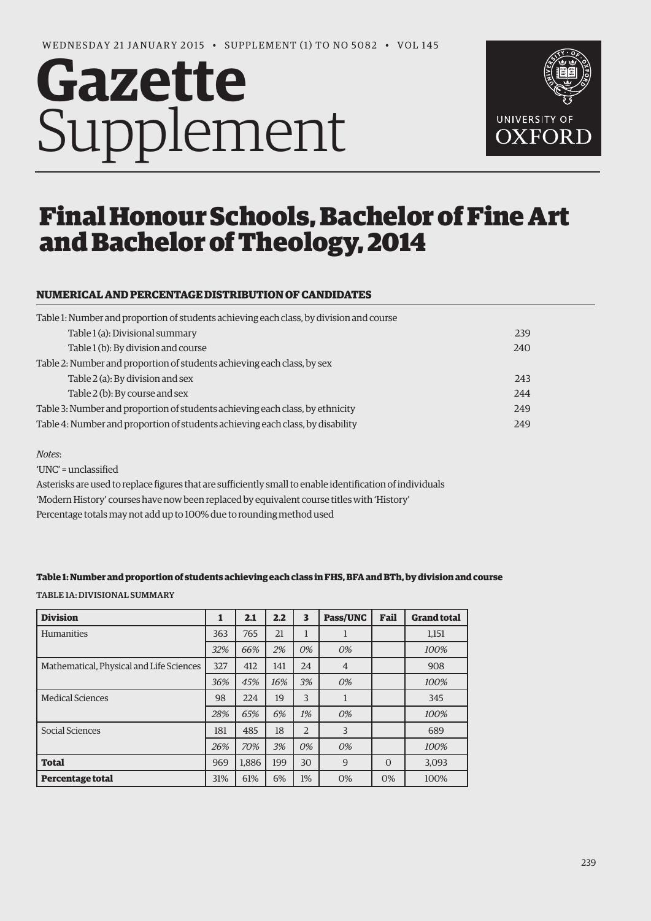# **Gazette** Supplement



# Final Honour Schools, Bachelor of Fine Art and Bachelor of Theology, 2014

# **NUMERICAL AND PERCENTAGE DISTRIBUTION OF CANDIDATES**

| Table 1: Number and proportion of students achieving each class, by division and course |  |
|-----------------------------------------------------------------------------------------|--|
| Table 1 (a): Divisional summary<br>239                                                  |  |
| Table 1 (b): By division and course<br>240                                              |  |
| Table 2: Number and proportion of students achieving each class, by sex                 |  |
| Table 2 (a): By division and sex<br>243                                                 |  |
| Table 2 (b): By course and sex<br>244                                                   |  |
| Table 3: Number and proportion of students achieving each class, by ethnicity<br>249    |  |
| Table 4: Number and proportion of students achieving each class, by disability<br>249   |  |

#### *Notes*:

'UNC' = unclassified

Asterisks are used to replace figures that are sufficiently small to enable identification of individuals 'Modern History' courses have now been replaced by equivalent course titles with 'History'

Percentage totals may not add up to 100% due to rounding method used

#### **Table 1: Number and proportion of students achieving each class in FHS, BFA and BTh, by division and course**

Table 1a: Divisional Summary

| <b>Division</b>                          | 1   | 2.1   | 2.2 | 3              | Pass/UNC       | Fail     | <b>Grand total</b> |
|------------------------------------------|-----|-------|-----|----------------|----------------|----------|--------------------|
| <b>Humanities</b>                        | 363 | 765   | 21  | 1              | $\mathbf{I}$   |          | 1,151              |
|                                          | 32% | 66%   | 2%  | 0%             | 0%             |          | 100%               |
| Mathematical, Physical and Life Sciences | 327 | 412   | 141 | 24             | $\overline{4}$ |          | 908                |
|                                          | 36% | 45%   | 16% | 3%             | 0%             |          | 100%               |
| <b>Medical Sciences</b>                  | 98  | 224   | 19  | 3              |                |          | 345                |
|                                          | 28% | 65%   | 6%  | 1%             | 0%             |          | 100%               |
| Social Sciences                          | 181 | 485   | 18  | $\overline{2}$ | 3              |          | 689                |
|                                          | 26% | 70%   | 3%  | 0%             | 0%             |          | 100%               |
| <b>Total</b>                             | 969 | 1.886 | 199 | 30             | 9              | $\Omega$ | 3,093              |
| Percentage total                         | 31% | 61%   | 6%  | 1%             | 0%             | 0%       | 100%               |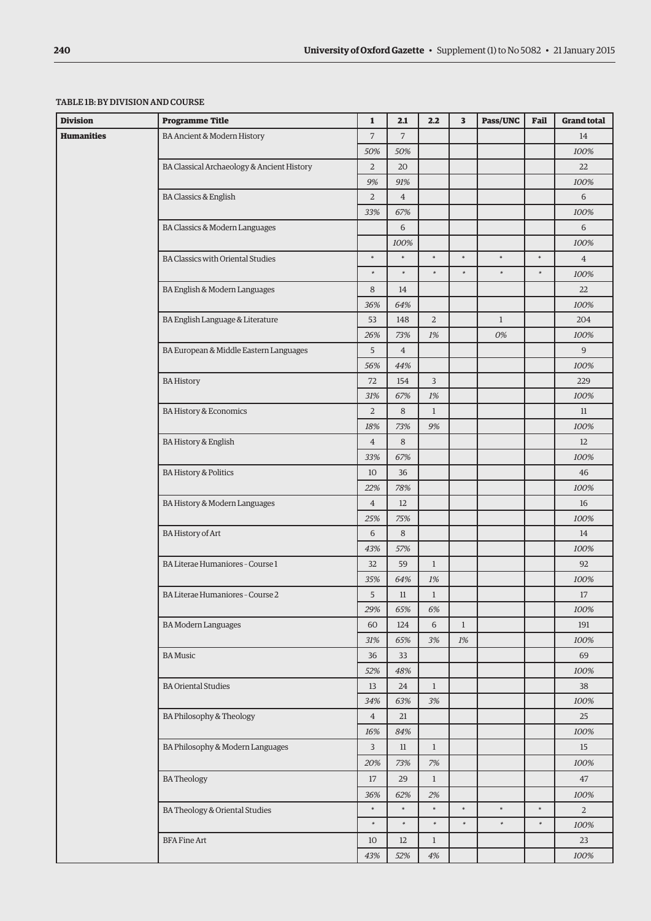| <b>Division</b>                | <b>Programme Title</b>                     | $\mathbf{1}$   | 2.1            | 2.2            | 3      | Pass/UNC     | Fail   | <b>Grand total</b> |
|--------------------------------|--------------------------------------------|----------------|----------------|----------------|--------|--------------|--------|--------------------|
| Humanities                     | BA Ancient & Modern History                | $\overline{7}$ | $\overline{7}$ |                |        |              |        | 14                 |
|                                |                                            | 50%            | 50%            |                |        |              |        | 100%               |
|                                | BA Classical Archaeology & Ancient History | $\overline{2}$ | 20             |                |        |              |        | 22                 |
|                                |                                            | 9%             | 91%            |                |        |              |        | 100%               |
|                                | <b>BA Classics &amp; English</b>           | $\overline{2}$ | $\overline{4}$ |                |        |              |        | 6                  |
|                                |                                            | 33%            | 67%            |                |        |              |        | 100%               |
|                                | BA Classics & Modern Languages             |                | 6              |                |        |              |        | 6                  |
|                                |                                            |                | 100%           |                |        |              |        | 100%               |
|                                | <b>BA Classics with Oriental Studies</b>   | $\ast$         | $\ast$         | $\ast$         | $\ast$ | $\ast$       | $\ast$ | $\overline{4}$     |
|                                |                                            | $\ast$         | $\ast$         | $\ast$         | $\ast$ | $\ast$       | $\ast$ | 100%               |
|                                | BA English & Modern Languages              | 8              | 14             |                |        |              |        | 22                 |
|                                |                                            | 36%            | 64%            |                |        |              |        | 100%               |
|                                | BA English Language & Literature           | 53             | 148            | $\overline{2}$ |        | $\mathbf{1}$ |        | 204                |
|                                |                                            | 26%            | 73%            | 1%             |        | 0%           |        | 100%               |
|                                | BA European & Middle Eastern Languages     | 5              | $\overline{4}$ |                |        |              |        | 9                  |
|                                |                                            | 56%            | 44%            |                |        |              |        | 100%               |
|                                | <b>BA History</b>                          | 72             | 154            | 3              |        |              |        | 229                |
|                                |                                            | 31%            | 67%            | 1%             |        |              |        | 100%               |
|                                | <b>BA History &amp; Economics</b>          | $\overline{2}$ | 8              | $\mathbf{1}$   |        |              |        | 11                 |
|                                |                                            | 18%            | 73%            | 9%             |        |              |        | 100%               |
|                                | <b>BA History &amp; English</b>            | $\overline{4}$ | 8              |                |        |              |        | 12                 |
|                                |                                            | 33%            | 67%            |                |        |              |        | 100%               |
|                                | <b>BA History &amp; Politics</b>           | 10             | 36             |                |        |              |        | 46                 |
| BA History & Modern Languages  | 22%                                        | 78%            |                |                |        |              | 100%   |                    |
|                                | $\overline{4}$                             | 12             |                |                |        |              | 16     |                    |
|                                |                                            | 25%            | 75%            |                |        |              |        | 100%               |
|                                | BA History of Art                          | 6              | 8              |                |        |              |        | 14                 |
|                                |                                            | 43%            | 57%            |                |        |              |        | 100%               |
|                                | BA Literae Humaniores - Course 1           | 32             | 59             | $\mathbf{1}$   |        |              |        | 92                 |
|                                |                                            | 35%            | 64%            | 1%             |        |              |        | 100%               |
|                                | BA Literae Humaniores - Course 2           | 5              | 11             | $\mathbf{1}$   |        |              |        | 17                 |
|                                |                                            | 29%            | 65%            | 6%             |        |              |        | 100%               |
|                                | <b>BA Modern Languages</b>                 | 60             | 124            | 6              | $1\,$  |              |        | 191                |
|                                |                                            | 31%            | 65%            | 3%             | 1%     |              |        | 100%               |
|                                | <b>BA</b> Music                            | 36             | 33             |                |        |              |        | 69                 |
|                                |                                            | 52%            | 48%            |                |        |              |        | 100%               |
|                                | <b>BA Oriental Studies</b>                 | 13             | 24             | $\mathbf{1}$   |        |              |        | 38                 |
|                                |                                            | 34%            | 63%            | 3%             |        |              |        | 100%               |
|                                | BA Philosophy & Theology                   | $\overline{4}$ | $21\,$         |                |        |              |        | 25                 |
|                                |                                            | 16%            | 84%            |                |        |              |        | 100%               |
|                                | BA Philosophy & Modern Languages           | 3              | $11\,$         | $\mathbf{1}$   |        |              |        | 15                 |
|                                |                                            | 20%            | 73%            | $7%$           |        |              |        | 100%               |
|                                | <b>BATheology</b>                          | $17\,$         | 29             | $\mathbf{1}$   |        |              |        | 47                 |
| BA Theology & Oriental Studies |                                            | 36%            | 62%            | 2%             |        |              |        | 100%               |
|                                |                                            | $\ast$         | $\ast$         | $\ast$         | $\ast$ | $\ast$       | $\ast$ | $\overline{2}$     |
|                                |                                            | $\ast$         | $\ast$         | $\ast$         | $\ast$ | $\ast$       | $\ast$ | 100%               |
|                                | <b>BFA Fine Art</b>                        | 10             | 12             | $\mathbf{1}$   |        |              |        | 23                 |
|                                |                                            | 43%            | 52%            | 4%             |        |              |        | 100%               |

#### Table 1b: By division and course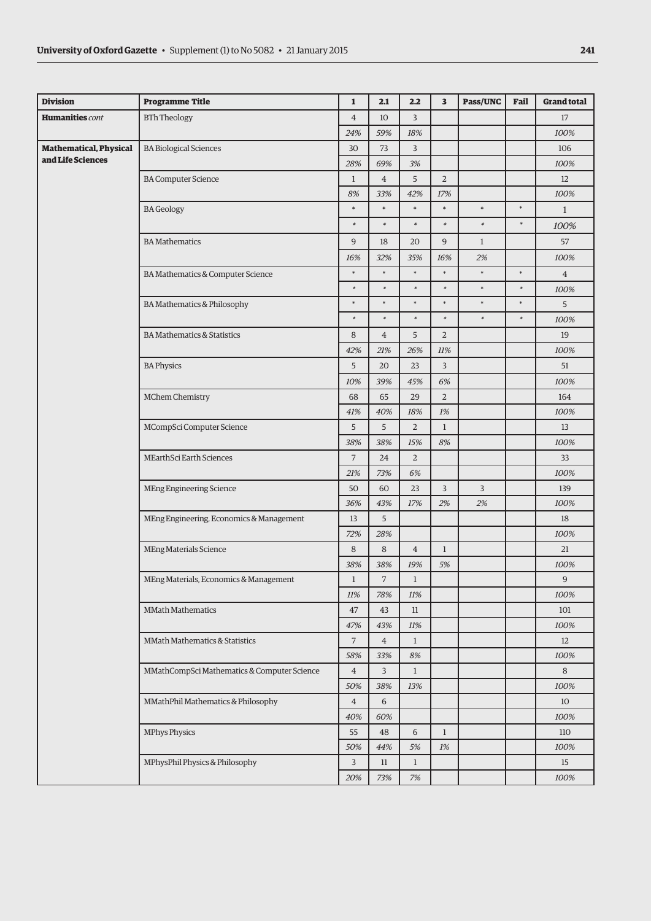| <b>Division</b>               | <b>Programme Title</b>                      | $\mathbf 1$    | 2.1            | 2.2            | 3              | Pass/UNC     | Fail   | <b>Grand total</b> |
|-------------------------------|---------------------------------------------|----------------|----------------|----------------|----------------|--------------|--------|--------------------|
| <b>Humanities</b> cont        | <b>BTh Theology</b>                         | $\overline{4}$ | 10             | 3              |                |              |        | 17                 |
|                               |                                             | 24%            | 59%            | 18%            |                |              |        | 100%               |
| <b>Mathematical, Physical</b> | <b>BA Biological Sciences</b>               | 30             | 73             | $\mathsf{3}$   |                |              |        | 106                |
| and Life Sciences             |                                             | 28%            | 69%            | 3%             |                |              |        | 100%               |
|                               | <b>BA Computer Science</b>                  | $\mathbf{1}$   | $\overline{4}$ | 5              | $\overline{2}$ |              |        | 12                 |
|                               |                                             | 8%             | 33%            | 42%            | 17%            |              |        | 100%               |
|                               | <b>BA</b> Geology                           | $\ast$         | $\ast$         | $\ast$         | $\ast$         | $\ast$       | $\ast$ | $\mathbf{1}$       |
|                               |                                             | $\ast$         | $\ast$         | $\ast$         | $\ast$         | $\ast$       | $\ast$ | 100%               |
|                               | <b>BA</b> Mathematics                       | $\overline{9}$ | 18             | 20             | 9              | $\mathbf{1}$ |        | 57                 |
|                               |                                             | 16%            | 32%            | 35%            | 16%            | $2\%$        |        | 100%               |
|                               | BA Mathematics & Computer Science           | $\ast$         | $\ast$         | $\ast$         | $\ast$         | $\ast$       | $\ast$ | $\overline{4}$     |
|                               |                                             | $\ast$         | $\ast$         | $\ast$         | $\ast$         | $\ast$       | $\ast$ | 100%               |
|                               | BA Mathematics & Philosophy                 | $\ast$         | $\ast$         | $\ast$         | $\ast$         | $\ast$       | $\ast$ | 5                  |
|                               |                                             | $\ast$         | $\ast$         | $\ast$         | $\ast$         | $\ast$       | $\ast$ | 100%               |
|                               | <b>BA Mathematics &amp; Statistics</b>      | 8              | $\overline{4}$ | 5              | $\overline{2}$ |              |        | 19                 |
|                               |                                             | 42%            | 21%            | 26%            | 11%            |              |        | 100%               |
|                               | <b>BA Physics</b>                           | 5              | 20             | 23             | 3              |              |        | 51                 |
|                               |                                             | 10%            | 39%            | 45%            | 6%             |              |        | 100%               |
|                               | MChem Chemistry                             | 68             | 65             | 29             | $\overline{2}$ |              |        | 164                |
|                               |                                             | 41%            | 40%            | 18%            | 1%             |              |        | 100%               |
|                               | MCompSci Computer Science                   |                | 5              | $\overline{2}$ | $\mathbf{1}$   |              |        | 13                 |
|                               |                                             | 38%            | 38%            | 15%            | 8%             |              |        | 100%               |
|                               | MEarthSci Earth Sciences                    | $\overline{7}$ | 24             | $\overline{2}$ |                |              |        | 33                 |
|                               |                                             | 21%            | 73%            | 6%             |                |              |        | 100%               |
|                               | MEng Engineering Science                    | 50             | 60             | 23             | 3              | 3            |        | 139                |
|                               |                                             | 36%            | 43%            | 17%            | 2%             | 2%           |        | 100%               |
|                               | MEng Engineering, Economics & Management    | 13             | 5              |                |                |              |        | 18                 |
|                               |                                             | 72%            | 28%            |                |                |              |        | 100%               |
|                               | <b>MEng Materials Science</b>               | 8              | 8              | $\overline{4}$ | $\mathbf{1}$   |              |        | 21                 |
|                               |                                             | 38%            | 38%            | 19%            | 5%             |              |        | 100%               |
|                               | MEng Materials, Economics & Management      | $\mathbf{1}$   | 7              | $\mathbf{1}$   |                |              |        | 9                  |
|                               |                                             | 11%            | 78%            | 11%            |                |              |        | 100%               |
|                               | MMath Mathematics                           | 47             | 43             | 11             |                |              |        | 101                |
|                               |                                             | 47%            | 43%            | 11%            |                |              |        | 100%               |
|                               | MMath Mathematics & Statistics              | $\overline{7}$ | $\overline{4}$ | $\mathbf{1}$   |                |              |        | 12                 |
|                               |                                             | 58%            | 33%            | 8%             |                |              |        | 100%               |
|                               | MMathCompSci Mathematics & Computer Science | $\overline{4}$ | 3              | $\mathbf{1}$   |                |              |        | 8                  |
|                               |                                             |                | 38%            | 13%            |                |              |        | 100%               |
|                               | MMathPhil Mathematics & Philosophy          |                | 6              |                |                |              |        | 10                 |
|                               |                                             |                | 60%            |                |                |              |        | 100%               |
|                               | <b>MPhys Physics</b>                        |                | 48             | 6              | $\mathbf{1}$   |              |        | 110                |
|                               |                                             | 50%            | 44%            | 5%             | 1%             |              |        | 100%               |
|                               | MPhysPhil Physics & Philosophy              | 3              | 11             | $\mathbf{1}$   |                |              |        | 15                 |
|                               |                                             | 20%            | 73%            | $7%$           |                |              |        | 100%               |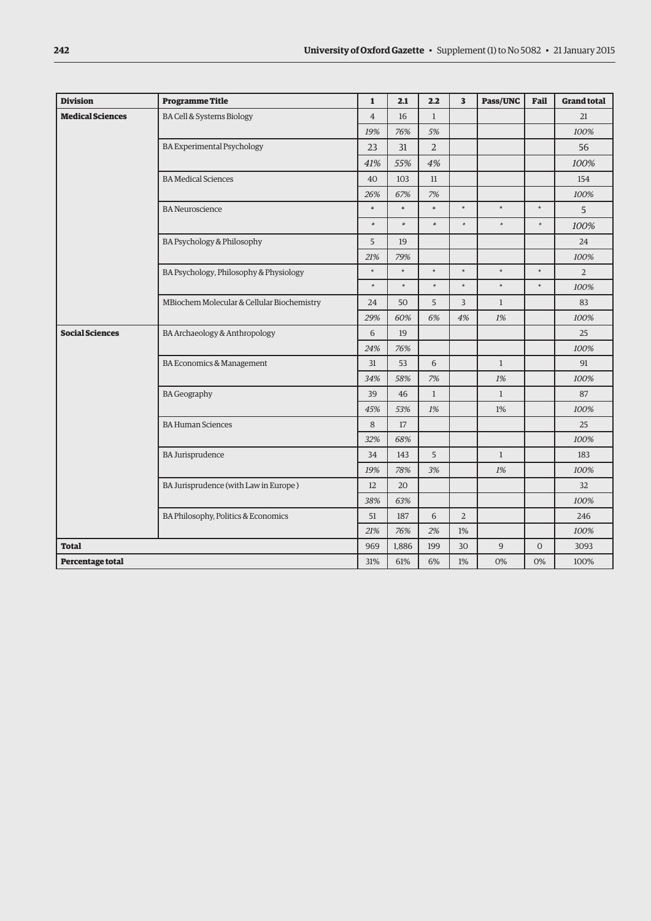| <b>Division</b>                                         | <b>Programme Title</b>                     | $\mathbf{1}$   | 2.1    | 2.2            | 3              | <b>Pass/UNC</b> | Fail           | <b>Grand total</b> |
|---------------------------------------------------------|--------------------------------------------|----------------|--------|----------------|----------------|-----------------|----------------|--------------------|
| <b>Medical Sciences</b>                                 | BA Cell & Systems Biology                  | $\overline{4}$ | 16     | $\mathbf{1}$   |                |                 |                | 21                 |
|                                                         |                                            | 19%            | 76%    | 5%             |                |                 |                | 100%               |
|                                                         | <b>BA Experimental Psychology</b>          | 23             | 31     | $\overline{2}$ |                |                 |                | 56                 |
|                                                         |                                            | 41%            | 55%    | 4%             |                |                 |                | 100%               |
|                                                         | <b>BA Medical Sciences</b>                 | 40             | 103    | 11             |                |                 |                | 154                |
|                                                         |                                            | 26%            | 67%    | 7%             |                |                 |                | 100%               |
|                                                         | <b>BA</b> Neuroscience                     | $\ast$         | $\ast$ | $\ast$         | $\ast$         | $\ast$          | $\ast$         | 5                  |
|                                                         |                                            | $\ast$         | $\ast$ | $\ast$         | $\ast$         | $\ast$          | $\ast$         | 100%               |
|                                                         | <b>BA Psychology &amp; Philosophy</b>      | 5              | 19     |                |                |                 |                | 24                 |
|                                                         |                                            | 21%            | 79%    |                |                |                 |                | 100%               |
|                                                         | BA Psychology, Philosophy & Physiology     | $\ast$         | $\ast$ | $\ast$         | $\ast$         | $\ast$          | $\ast$         | $\overline{2}$     |
|                                                         |                                            | $\ast$         | $\ast$ | $\ast$         | $\ast$         | $\ast$          | $\ast$         | 100%               |
|                                                         | MBiochem Molecular & Cellular Biochemistry | 24             | 50     | 5              | $\overline{3}$ | $\mathbf{1}$    |                | 83                 |
|                                                         |                                            | 29%            | 60%    | 6%             | 4%             | 1%              |                | 100%               |
| <b>Social Sciences</b><br>BA Archaeology & Anthropology |                                            | 6              | 19     |                |                |                 |                | 25                 |
|                                                         |                                            | 24%            | 76%    |                |                |                 |                | 100%               |
|                                                         | BA Economics & Management                  | 31             | 53     | 6              |                | $\mathbf{1}$    |                | 91                 |
|                                                         |                                            | 34%            | 58%    | 7%             |                | 1%              |                | 100%               |
|                                                         | <b>BA</b> Geography                        | 39             | 46     | $\mathbf{1}$   |                | $\mathbf{1}$    |                | 87                 |
|                                                         |                                            | 45%            | 53%    | 1%             |                | 1%              |                | 100%               |
|                                                         | <b>BA Human Sciences</b>                   | 8              | 17     |                |                |                 |                | 25                 |
|                                                         |                                            | 32%            | 68%    |                |                |                 |                | 100%               |
|                                                         | <b>BA Jurisprudence</b>                    | 34             | 143    | 5              |                | $\mathbf{1}$    |                | 183                |
|                                                         |                                            | 19%            | 78%    | 3%             |                | 1%              |                | 100%               |
|                                                         | BA Jurisprudence (with Law in Europe)      | 12             | 20     |                |                |                 |                | 32                 |
|                                                         |                                            | 38%            | 63%    |                |                |                 |                | 100%               |
|                                                         | BA Philosophy, Politics & Economics        | 51             | 187    | 6              | $\overline{2}$ |                 |                | 246                |
|                                                         |                                            | 21%            | 76%    | 2%             | 1%             |                 |                | 100%               |
| <b>Total</b>                                            |                                            | 969            | 1,886  | 199            | 30             | 9               | $\overline{0}$ | 3093               |
| Percentage total                                        |                                            | 31%            | 61%    | 6%             | 1%             | 0%              | 0%             | 100%               |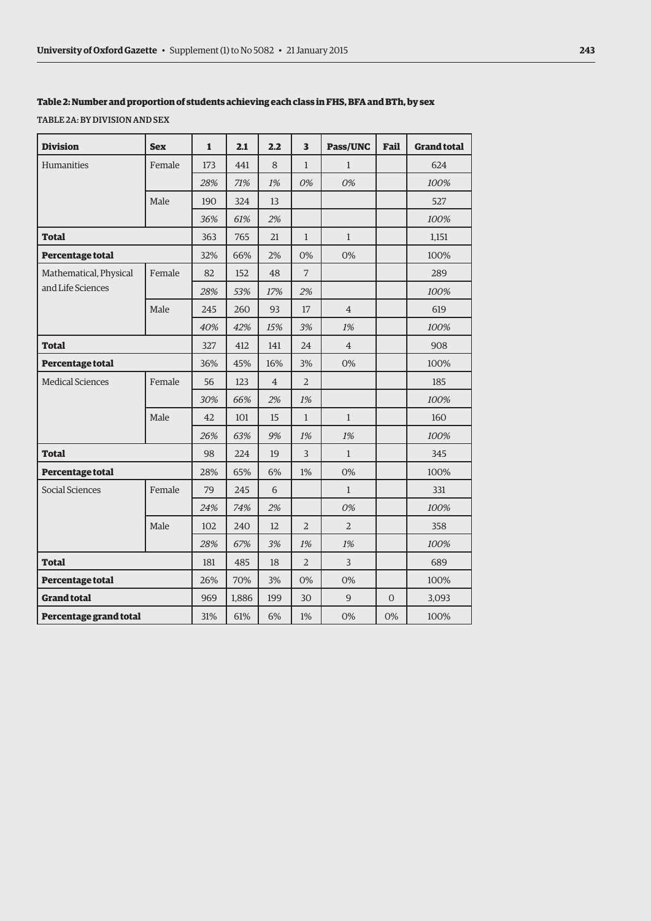#### **Table 2: Number and proportion of students achieving each class in FHS, BFA and BTh, by sex**

TABLE 2A: BY DIVISION AND SEX

| <b>Division</b>         | <b>Sex</b> | 1   | 2.1   | 2.2            | 3              | Pass/UNC       | Fail     | <b>Grand total</b> |
|-------------------------|------------|-----|-------|----------------|----------------|----------------|----------|--------------------|
| Humanities              | Female     | 173 | 441   | 8              | $\mathbf{1}$   | $\mathbf{1}$   |          | 624                |
|                         |            | 28% | 71%   | 1%             | 0%             | 0%             |          | 100%               |
|                         | Male       | 190 | 324   | 13             |                |                |          | 527                |
|                         |            | 36% | 61%   | 2%             |                |                |          | 100%               |
| Total                   |            | 363 | 765   | 21             | $\mathbf{1}$   | $\mathbf{1}$   |          | 1,151              |
| Percentage total        |            | 32% | 66%   | 2%             | 0%             | 0%             |          | 100%               |
| Mathematical, Physical  | Female     | 82  | 152   | 48             | 7              |                |          | 289                |
| and Life Sciences       |            | 28% | 53%   | 17%            | 2%             |                |          | 100%               |
|                         | Male       | 245 | 260   | 93             | 17             | $\overline{4}$ |          | 619                |
|                         |            | 40% | 42%   | 15%            | 3%             | 1%             |          | 100%               |
| Total                   |            | 327 | 412   | 141            | 24             | $\overline{4}$ |          | 908                |
| Percentage total        |            | 36% | 45%   | 16%            | 3%             | 0%             |          | 100%               |
| <b>Medical Sciences</b> | Female     | 56  | 123   | $\overline{4}$ | $\overline{2}$ |                |          | 185                |
|                         |            | 30% | 66%   | 2%             | 1%             |                |          | 100%               |
|                         | Male       | 42  | 101   | 15             | $\mathbf{1}$   | $\mathbf{1}$   |          | 160                |
|                         |            | 26% | 63%   | 9%             | 1%             | 1%             |          | 100%               |
| <b>Total</b>            |            | 98  | 224   | 19             | $\overline{3}$ | $\mathbf{1}$   |          | 345                |
| Percentage total        |            | 28% | 65%   | 6%             | 1%             | 0%             |          | 100%               |
| Social Sciences         | Female     | 79  | 245   | 6              |                | $\mathbf{1}$   |          | 331                |
|                         |            | 24% | 74%   | 2%             |                | 0%             |          | 100%               |
|                         | Male       | 102 | 240   | 12             | $\overline{2}$ | $\overline{2}$ |          | 358                |
|                         |            | 28% | 67%   | 3%             | 1%             | 1%             |          | 100%               |
| <b>Total</b>            |            | 181 | 485   | 18             | $\overline{2}$ | 3              |          | 689                |
| Percentage total        |            | 26% | 70%   | 3%             | 0%             | 0%             |          | 100%               |
| <b>Grand total</b>      |            | 969 | 1,886 | 199            | 30             | 9              | $\Omega$ | 3,093              |
| Percentage grand total  |            | 31% | 61%   | 6%             | 1%             | 0%             | 0%       | 100%               |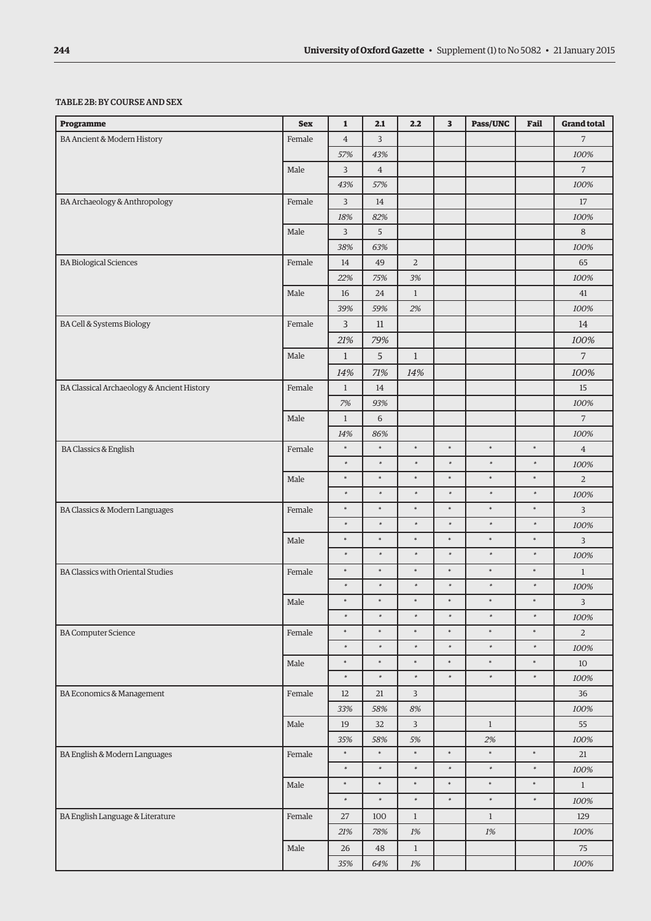## TABLE 2B: BY COURSE AND SEX

| <b>Programme</b>                           | <b>Sex</b> | $\mathbf{1}$     | 2.1              | 2.2              | 3                | Pass/UNC         | Fail             | <b>Grand total</b>     |
|--------------------------------------------|------------|------------------|------------------|------------------|------------------|------------------|------------------|------------------------|
| BA Ancient & Modern History                | Female     | $\overline{4}$   | 3                |                  |                  |                  |                  | $\overline{7}$         |
|                                            |            | 57%              | 43%              |                  |                  |                  |                  | 100%                   |
|                                            | Male       | 3                | $\overline{4}$   |                  |                  |                  |                  | $\overline{7}$         |
|                                            |            | 43%              | 57%              |                  |                  |                  |                  | 100%                   |
| BA Archaeology & Anthropology              | Female     | 3                | 14               |                  |                  |                  |                  | $17\,$                 |
|                                            |            | 18%              | 82%              |                  |                  |                  |                  | 100%                   |
|                                            | Male       | 3                | 5                |                  |                  |                  |                  | 8                      |
|                                            |            | 38%              | 63%              |                  |                  |                  |                  | 100%                   |
| <b>BA Biological Sciences</b>              | Female     | 14               | 49               | $\overline{2}$   |                  |                  |                  | 65                     |
|                                            |            | 22%              | 75%              | 3%               |                  |                  |                  | 100%                   |
|                                            | Male       | 16               | 24               | $\mathbf{1}$     |                  |                  |                  | 41                     |
|                                            |            | 39%              | 59%              | 2%               |                  |                  |                  | 100%                   |
| BA Cell & Systems Biology                  | Female     | 3                | 11               |                  |                  |                  |                  | 14                     |
|                                            |            | 21%              | 79%              |                  |                  |                  |                  | 100%                   |
|                                            | Male       | $\mathbf{1}$     | 5                | $\mathbf{1}$     |                  |                  |                  | $\overline{7}$         |
|                                            |            | 14%              | 71%              | 14%              |                  |                  |                  | 100%                   |
| BA Classical Archaeology & Ancient History | Female     | $\mathbf{1}$     | 14               |                  |                  |                  |                  | 15                     |
|                                            |            | 7%               | 93%              |                  |                  |                  |                  | 100%                   |
|                                            | Male       | $\mathbf{1}$     | 6                |                  |                  |                  |                  | 7                      |
|                                            |            | 14%              | 86%              |                  |                  |                  |                  | 100%                   |
| <b>BA Classics &amp; English</b>           | Female     | $\ast$           | $\ast$           | $\ast$           | $\ast$           | $\ast$           | $\ast$           | $\overline{4}$         |
|                                            |            | $\ast$           | $\ast$           | $\ast$           | $\ast$           | $\ast$           | $\ast$           | 100%                   |
|                                            | Male       | $\ast$           | $\ast$           | $\ast$           | $\ast$           | $\ast$           | $\ast$           | $\overline{2}$         |
|                                            |            | $\ast$           | $\ast$           | $\ast$           | $\ast$           | $\ast$           | $\ast$           | 100%                   |
| BA Classics & Modern Languages             | Female     | $\ast$<br>$\ast$ | $\ast$<br>$\ast$ | $\ast$<br>$\ast$ | $\ast$<br>$\ast$ | $\ast$<br>$\ast$ | $\ast$           | 3                      |
|                                            |            | $\ast$           | $\ast$           | $\ast$           | $\ast$           | $\ast$           | $\ast$<br>$\ast$ | 100%                   |
|                                            | Male       | $\ast$           | $\ast$           | $\ast$           | $\ast$           | $\ast$           | $\ast$           | 3                      |
|                                            |            | $\ast$           | $\ast$           | $\ast$           | $\ast$           | $\ast$           | $\ast$           | 100%                   |
| <b>BA Classics with Oriental Studies</b>   | Female     | $\ast$           | $\ast$           | $\ast$           | $\ast$           | $\ast$           | $\ast$           | $\mathbf{1}$           |
|                                            |            | $\ast$           | $\ast$           | $\ast$           | $\ast$           | $\ast$           | $\ast$           | 100%                   |
|                                            | Male       | $\ast$           | $\ast$           | $\ast$           | $\ast$           | $\ast$           | $\ast$           | 3                      |
| <b>BA Computer Science</b>                 | Female     | $\ast$           | $\ast$           | $\ast$           | $\ast$           | $\ast$           | $\ast$           | 100%<br>$\overline{2}$ |
|                                            |            | $\ast$           | $\ast$           | $\ast$           | $\ast$           | $\ast$           | $\ast$           | $100\%$                |
|                                            | Male       | $\ast$           | $\ast$           | $\ast$           | $\ast$           | $\ast$           | $\ast$           | $10\,$                 |
|                                            |            | $\ast$           | $\ast$           | $\ast$           | $\ast$           | $\ast$           | $\ast$           | 100%                   |
| BA Economics & Management                  | Female     | 12               | $21\,$           | 3                |                  |                  |                  | 36                     |
|                                            |            | 33%              | 58%              | $8\%$            |                  |                  |                  | $100\%$                |
|                                            | Male       | 19               | 32               | 3                |                  | $\mathbf{1}$     |                  | 55                     |
|                                            |            | 35%              | 58%              | $5\%$            |                  | $2\%$            |                  | 100%                   |
| BA English & Modern Languages              | Female     | $\ast$           | $\ast$           | $\ast$           | $\ast$           | $\ast$           | $\ast$           | $21\,$                 |
|                                            |            | $\ast$           | $\ast$           | $\ast$           | $\ast$           | $\ast$           | $\ast$           | 100%                   |
|                                            | Male       | $\ast$           | $\ast$           | $\ast$           | $\ast$           | $\ast$           | $\ast$           | $\mathbf{1}$           |
|                                            |            | $\ast$           | $\ast$           | $\ast$           | $\ast$           | $\ast$           | $\ast$           | 100%                   |
| BA English Language & Literature           | Female     | 27               | 100              | $\mathbf{1}$     |                  | $\mathbf{1}$     |                  | 129                    |
|                                            |            | 21%              | $78\%$           | $1\%$            |                  | $1\%$            |                  | 100%                   |
|                                            | Male       | 26               | 48               | $1\,$            |                  |                  |                  | 75                     |
|                                            |            | $35\%$           | 64%              | $1\%$            |                  |                  |                  | 100%                   |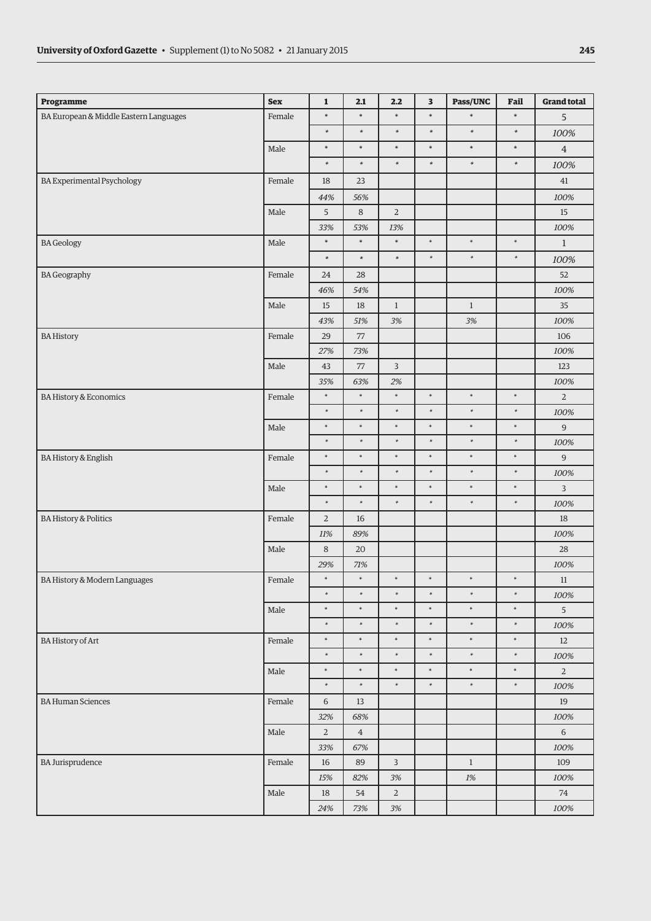| Programme                              | <b>Sex</b> | $\mathbf 1$           | 2.1           | 2.2            | $\overline{\mathbf{3}}$ | Pass/UNC     | Fail   | <b>Grand total</b> |
|----------------------------------------|------------|-----------------------|---------------|----------------|-------------------------|--------------|--------|--------------------|
| BA European & Middle Eastern Languages | Female     | $\ast$                | $\ast$        | $\ast$         | $\ast$                  | $\ast$       | $\ast$ | 5                  |
|                                        |            | $\ast$                | $\ast$        | $\ast$         | $\ast$                  | $\ast$       | $\ast$ | 100%               |
|                                        | Male       | $\ast$                | $\ast$        | $\ast$         | $\ast$                  | $\ast$       | $\ast$ | $\overline{4}$     |
|                                        |            | $\ast$                | $\ast$        | $\ast$         | $\ast$                  | $\ast$       | $\ast$ | 100%               |
| <b>BA Experimental Psychology</b>      | Female     | 18                    | 23            |                |                         |              |        | 41                 |
|                                        |            | 44%                   | 56%           |                |                         |              |        | 100%               |
|                                        | Male       | 5                     | $\,8\,$       | $\sqrt{2}$     |                         |              |        | $15\,$             |
|                                        |            | 33%                   | 53%           | 13%            |                         |              |        | 100%               |
| <b>BA</b> Geology                      | Male       | $\ast$                | $\ast$        | $\ast$         | $\ast$                  | $\ast$       | $\ast$ | $\mathbf{1}$       |
|                                        |            | $\ast$                | $\ast$        | $\ast$         | $\ast$                  | $\ast$       | $\ast$ | 100%               |
| <b>BA</b> Geography                    | Female     | 24                    | 28            |                |                         |              |        | 52                 |
|                                        |            | 46%                   | 54%           |                |                         |              |        | 100%               |
|                                        | Male       | 15                    | $18\,$        | $\,1$          |                         | $1\,$        |        | 35                 |
|                                        |            | 43%                   | 51%           | $3\%$          |                         | 3%           |        | 100%               |
| <b>BA History</b>                      | Female     | 29                    | 77            |                |                         |              |        | 106                |
|                                        |            | 27%                   | 73%           |                |                         |              |        | 100%               |
|                                        | Male       | 43                    | 77            | $\overline{3}$ |                         |              |        | 123                |
|                                        |            | 35%<br>$\ast$         | 63%<br>$\ast$ | 2%<br>$\ast$   | $\ast$                  | $\ast$       | $\ast$ | 100%               |
| BA History & Economics                 | Female     | $\ast$                | $\ast$        | $\ast$         | $\ast$                  | $\ast$       | $\ast$ | $\overline{2}$     |
|                                        | Male       | $\ast$                | $\ast$        | $\ast$         | $\ast$                  | $\ast$       | $\ast$ | $100\%$<br>9       |
|                                        |            | $\ast$                | $\ast$        | $\ast$         | $\ast$                  | $\ast$       | $\ast$ | 100%               |
| <b>BA History &amp; English</b>        | Female     | $\ast$                | $\ast$        | $\ast$         | $\ast$                  | $\ast$       | $\ast$ | 9                  |
|                                        |            | $\ast$                | $\ast$        | $\ast$         | $\ast$                  | $\ast$       | $\ast$ | 100%               |
|                                        | Male       | $\ast$                | $\ast$        | $\ast$         | $\ast$                  | $\ast$       | $\ast$ | $\overline{3}$     |
|                                        |            | $\ast$                | $\ast$        | $\ast$         | $\ast$                  | $\ast$       | $\ast$ | 100%               |
| <b>BA History &amp; Politics</b>       | Female     | $\overline{2}$        | $16\,$        |                |                         |              |        | 18                 |
|                                        |            | $11\%$                | 89%           |                |                         |              |        | 100%               |
|                                        | Male       | 8                     | 20            |                |                         |              |        | 28                 |
|                                        |            | 29%                   | $71\%$        |                |                         |              |        | 100%               |
| BA History & Modern Languages          | Female     | $\ast$                | $\ast$        | $\ast$         | $\ast$                  | $\ast$       | $\ast$ | 11                 |
|                                        |            | $\ast$                | $\ast$        | $\ast$         | $\ast$                  | $\ast$       | $\ast$ | 100%               |
|                                        | Male       | $\ast$                | $\ast$        | $\ast$         | $\ast$                  | $\ast$       | $\ast$ | 5 <sup>5</sup>     |
|                                        |            | $\ast$                | $\ast$        | $\ast$         | $\ast$                  | $\ast$       | $\ast$ | 100%               |
| <b>BA History of Art</b>               | Female     | $\ast$                | $\ast$        | $\ast$         | $\ast$                  | $\ast$       | $\ast$ | 12                 |
|                                        |            | $\ast$                | $\ast$        | $\ast$         | $\ast$                  | $\ast$       | $\ast$ | 100%               |
|                                        | Male       | $\ast$                | $\ast$        | $\ast$         | $\ast$                  | $\ast$       | $\ast$ | $\overline{a}$     |
|                                        |            | $\ast$                | $\ast$        | $\ast$         | $\ast$                  | $\ast$       | $\ast$ | 100%               |
| <b>BA Human Sciences</b>               | Female     | 6                     | $13\,$        |                |                         |              |        | 19                 |
|                                        |            | 32%                   | 68%           |                |                         |              |        | 100%               |
|                                        | Male       | $\overline{a}$<br>33% | $\,4\,$       |                |                         |              |        | $\sqrt{6}$<br>100% |
| <b>BA Jurisprudence</b>                | Female     |                       | 67%<br>89     | 3              |                         | $\mathbf{1}$ |        | 109                |
|                                        |            | 16<br>15%             | 82%           | $3\%$          |                         | 1%           |        | 100%               |
|                                        | Male       | 18                    | 54            | $\overline{2}$ |                         |              |        | $74\,$             |
|                                        |            | $24\%$                | 73%           | $3\%$          |                         |              |        | 100%               |
|                                        |            |                       |               |                |                         |              |        |                    |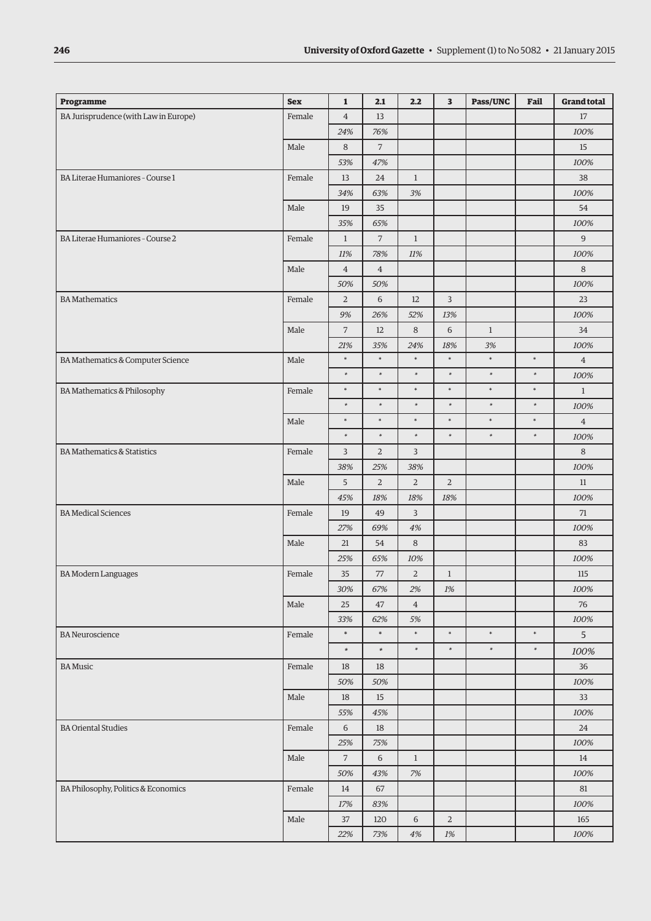| Programme                              | <b>Sex</b> | $\mathbf{1}$   | 2.1            | 2.2                   | $\overline{\mathbf{3}}$ | Pass/UNC     | Fail   | <b>Grand total</b> |
|----------------------------------------|------------|----------------|----------------|-----------------------|-------------------------|--------------|--------|--------------------|
| BA Jurisprudence (with Law in Europe)  | Female     | $\overline{4}$ | 13             |                       |                         |              |        | 17                 |
|                                        |            | 24%            | 76%            |                       |                         |              |        | 100%               |
|                                        | Male       | $\,8\,$        | $\overline{7}$ |                       |                         |              |        | 15                 |
|                                        |            | 53%            | 47%            |                       |                         |              |        | 100%               |
| BA Literae Humaniores - Course 1       | Female     | 13             | 24             | $\mathbf{1}$          |                         |              |        | 38                 |
|                                        |            | 34%            | 63%            | 3%                    |                         |              |        | 100%               |
|                                        | Male       | 19             | 35             |                       |                         |              |        | 54                 |
|                                        |            | 35%            | 65%            |                       |                         |              |        | 100%               |
| BA Literae Humaniores - Course 2       | Female     | $\mathbf{1}$   | $\overline{7}$ | $\mathbf{1}$          |                         |              |        | 9                  |
|                                        |            | 11%            | 78%            | 11%                   |                         |              |        | 100%               |
|                                        | Male       | $\overline{4}$ | $\overline{4}$ |                       |                         |              |        | 8                  |
|                                        |            | 50%            | 50%            |                       |                         |              |        | 100%               |
| <b>BA</b> Mathematics                  | Female     | $\overline{2}$ | 6              | 12                    | 3                       |              |        | 23                 |
|                                        |            | 9%             | 26%            | 52%                   | 13%                     |              |        | 100%               |
|                                        | Male       | $\overline{7}$ | 12             | $\,8\,$               | $\,$ 6 $\,$             | $\mathbf{1}$ |        | 34                 |
|                                        |            | 21%            | 35%            | 24%                   | 18%                     | 3%           |        | 100%               |
| BA Mathematics & Computer Science      | Male       | $\ast$         | $\ast$         | $\ast$                | $\ast$                  | $\ast$       | $\ast$ | $\overline{4}$     |
|                                        |            | $\ast$         | $\ast$         | $\ast$                | $\ast$                  | $\ast$       | $\ast$ | 100%               |
| BA Mathematics & Philosophy            | Female     | $\ast$         | $\ast$         | $\ast$                | $\ast$                  | $\ast$       | $\ast$ | $\mathbf{1}$       |
|                                        |            | $\ast$         | $\ast$         | $\ast$                | $\ast$                  | $\ast$       | $\ast$ | 100%               |
|                                        | Male       | $\ast$         | $\ast$         | $\ast$                | $\ast$                  | $\ast$       | $\ast$ | $\overline{4}$     |
|                                        |            | $\ast$         | $\ast$         | $\ast$                | $\ast$                  | $\ast$       | $\ast$ | 100%               |
| <b>BA Mathematics &amp; Statistics</b> | Female     | 3              | $\overline{2}$ | 3                     |                         |              |        | 8                  |
|                                        |            | 38%            | 25%            | 38%                   |                         |              |        | 100%               |
|                                        | Male       | 5              | $\overline{2}$ | $\overline{2}$        | $\overline{2}$          |              |        | 11                 |
|                                        |            | 45%            | 18%            | 18%                   | 18%                     |              |        | 100%               |
| <b>BA</b> Medical Sciences             | Female     | 19<br>27%      | 49<br>69%      | $\mathsf{3}$<br>$4\%$ |                         |              |        | 71<br>100%         |
|                                        | Male       | 21             | 54             | $\,8\,$               |                         |              |        | 83                 |
|                                        |            | 25%            | 65%            | 10%                   |                         |              |        | 100%               |
| <b>BA Modern Languages</b>             | Female     | 35             | 77             | $\overline{2}$        | $\mathbf{1}$            |              |        | 115                |
|                                        |            | 30%            | 67%            | 2%                    | 1%                      |              |        | 100%               |
|                                        | Male       | 25             | 47             | $\overline{4}$        |                         |              |        | 76                 |
|                                        |            | 33%            | 62%            | 5%                    |                         |              |        | 100%               |
| <b>BA</b> Neuroscience                 | Female     | $\ast$         | $\ast$         | $\ast$                | $\ast$                  | $\ast$       | $\ast$ | 5                  |
|                                        |            | $\ast$         | $\ast$         | $\ast$                | $\ast$                  | $\ast$       | $\ast$ | 100%               |
| <b>BA Music</b>                        | Female     | 18             | 18             |                       |                         |              |        | 36                 |
|                                        |            | 50%            | 50%            |                       |                         |              |        | 100%               |
|                                        | Male       | 18             | 15             |                       |                         |              |        | 33                 |
|                                        |            | 55%            | 45%            |                       |                         |              |        | 100%               |
| <b>BA Oriental Studies</b>             | Female     | 6              | 18             |                       |                         |              |        | 24                 |
|                                        |            | 25%            | 75%            |                       |                         |              |        | 100%               |
|                                        | Male       | $\overline{7}$ | 6              | $\mathbf{1}$          |                         |              |        | 14                 |
|                                        |            | 50%            | 43%            | 7%                    |                         |              |        | 100%               |
| BA Philosophy, Politics & Economics    | Female     | 14             | 67             |                       |                         |              |        | 81                 |
|                                        |            | 17%            | 83%            |                       |                         |              |        | 100%               |
|                                        | Male       | 37             | 120            | 6                     | $\overline{2}$          |              |        | 165                |
|                                        |            | 22%            | 73%            | $4\%$                 | $1\%$                   |              |        | 100%               |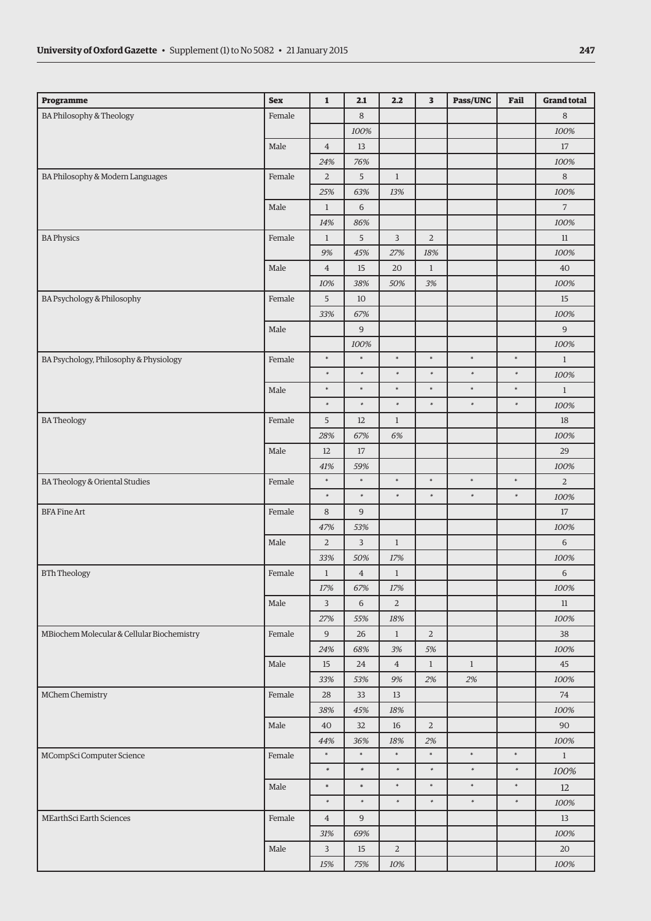| Programme                                  | <b>Sex</b> | $\mathbf{1}$          | 2.1                 | 2.2            | 3              | Pass/UNC     | Fail   | <b>Grand total</b> |
|--------------------------------------------|------------|-----------------------|---------------------|----------------|----------------|--------------|--------|--------------------|
| BA Philosophy & Theology                   | Female     |                       | 8                   |                |                |              |        | 8                  |
|                                            |            |                       | 100%                |                |                |              |        | 100%               |
|                                            | Male       | $\overline{4}$        | 13                  |                |                |              |        | $17\,$             |
|                                            |            | 24%                   | 76%                 |                |                |              |        | 100%               |
| BA Philosophy & Modern Languages           | Female     | $\overline{2}$        | 5                   | $\mathbf{1}$   |                |              |        | 8                  |
|                                            |            | 25%                   | 63%                 | 13%            |                |              |        | 100%               |
|                                            | Male       | $\mathbf{1}$          | $\sqrt{6}$          |                |                |              |        | $\overline{7}$     |
|                                            |            | 14%                   | 86%                 |                |                |              |        | 100%               |
| <b>BA Physics</b>                          | Female     | $\mathbf{1}$          | 5                   | $\mathsf 3$    | $\overline{2}$ |              |        | $11\,$             |
|                                            |            | 9%                    | 45%                 | 27%            | 18%            |              |        | 100%               |
|                                            | Male       | $\overline{4}$        | 15                  | 20             | $\mathbf{1}$   |              |        | 40                 |
|                                            |            | 10%                   | 38%                 | 50%            | 3%             |              |        | 100%               |
| BA Psychology & Philosophy                 | Female     | 5                     | 10                  |                |                |              |        | 15                 |
|                                            |            | 33%                   | 67%                 |                |                |              |        | 100%               |
|                                            | Male       |                       | $9$                 |                |                |              |        | $9$                |
|                                            |            |                       | 100%                |                |                |              |        | 100%               |
| BA Psychology, Philosophy & Physiology     | Female     | $\ast$                | $\ast$              | $\ast$         | $\ast$         | $\ast$       | $\ast$ | $\mathbf{1}$       |
|                                            |            | $\ast$                | $\ast$              | $\ast$         | $\ast$         | $\ast$       | $\ast$ | 100%               |
|                                            | Male       | $\ast$                | $\ast$              | $\ast$         | $\ast$         | $\ast$       | $\ast$ | $\mathbf{1}$       |
|                                            |            | $\ast$                | $\ast$              | $\ast$         | $\ast$         | $\ast$       | $\ast$ | 100%               |
| <b>BATheology</b>                          | Female     | 5                     | 12                  | $\mathbf{1}$   |                |              |        | 18                 |
|                                            |            | 28%                   | 67%                 | 6%             |                |              |        | 100%               |
|                                            | Male       | 12                    | 17                  |                |                |              |        | 29                 |
|                                            |            | 41%                   | 59%<br>$\ast$       | $\ast$         | $\ast$         | $\ast$       | $\ast$ | 100%               |
| BA Theology & Oriental Studies             | Female     | $\ast$<br>$\ast$      | $\ast$              | $\ast$         | $\ast$         | $\ast$       | $\ast$ | $\overline{2}$     |
|                                            |            |                       |                     |                |                |              |        | 100%               |
| <b>BFA Fine Art</b>                        | Female     | 8                     | 9                   |                |                |              |        | $17\,$             |
|                                            | Male       | 47%<br>$\overline{2}$ | 53%<br>$\mathsf{3}$ | $\mathbf{1}$   |                |              |        | 100%<br>6          |
|                                            |            | 33%                   | 50%                 | $17\%$         |                |              |        | $100\%$            |
| <b>BTh Theology</b>                        | Female     | $\mathbf{1}$          | $\overline{4}$      | $\mathbf{1}$   |                |              |        | $\,$ 6 $\,$        |
|                                            |            | 17%                   | 67%                 | 17%            |                |              |        | 100%               |
|                                            | Male       | $\mathbf{3}$          | 6                   | $\overline{a}$ |                |              |        | 11                 |
|                                            |            | 27%                   | 55%                 | $18\%$         |                |              |        | 100%               |
| MBiochem Molecular & Cellular Biochemistry | Female     | 9                     | 26                  | $\mathbf{1}$   | $\overline{a}$ |              |        | 38                 |
|                                            |            | 24%                   | 68%                 | 3%             | 5%             |              |        | 100%               |
|                                            | Male       | 15                    | 24                  | $\overline{4}$ | $\mathbf{1}$   | $\mathbf{1}$ |        | 45                 |
|                                            |            | 33%                   | 53%                 | $9\%$          | 2%             | 2%           |        | 100%               |
| MChem Chemistry                            | Female     | 28                    | 33                  | 13             |                |              |        | 74                 |
|                                            |            | 38%                   | 45%                 | 18%            |                |              |        | 100%               |
|                                            | Male       | 40                    | 32                  | 16             | $\overline{a}$ |              |        | 90                 |
|                                            |            | 44%                   | 36%                 | 18%            | 2%             |              |        | 100%               |
| MCompSci Computer Science                  | Female     | $\ast$                | $\ast$              | $\ast$         | $\ast$         | $\ast$       | $\ast$ | $\mathbf{1}$       |
|                                            |            | $\ast$                | $\ast$              | $\ast$         | $\ast$         | $\ast$       | $\ast$ | 100%               |
|                                            | Male       | $\ast$                | $\ast$              | $\ast$         | $\ast$         | $\ast$       | $\ast$ | 12                 |
|                                            |            | $\ast$                | $\ast$              | $\ast$         | $\ast$         | $\ast$       | $\ast$ | 100%               |
| MEarthSci Earth Sciences                   | Female     | $\overline{4}$        | $\overline{9}$      |                |                |              |        | 13                 |
|                                            |            | 31%                   | 69%                 |                |                |              |        | 100%               |
|                                            | Male       | 3                     | $15\,$              | $\sqrt{2}$     |                |              |        | $20\,$             |
|                                            |            | 15%                   | 75%                 | 10%            |                |              |        | 100%               |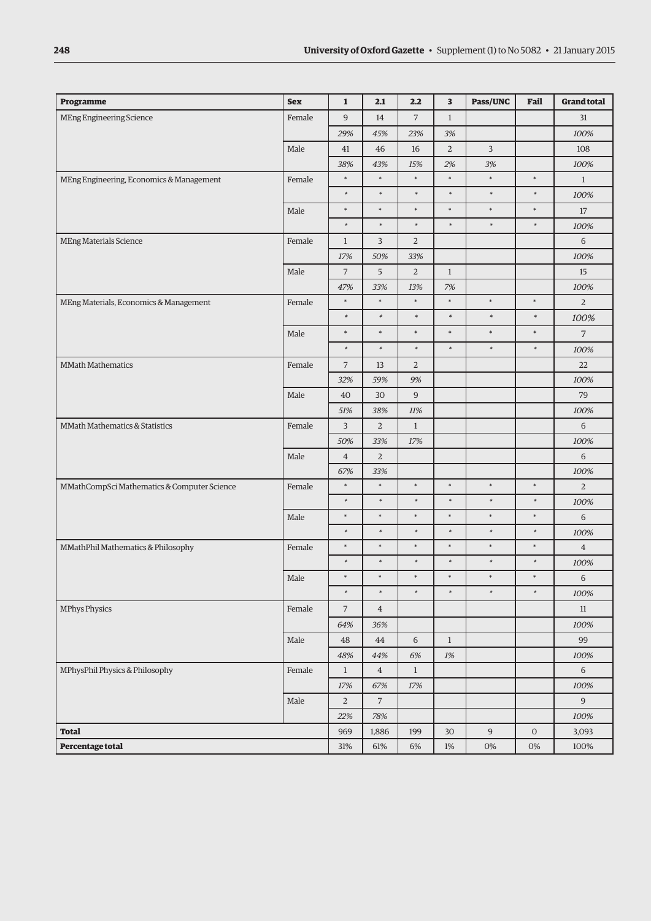| Programme                                   | <b>Sex</b> | $\mathbf{1}$   | 2.1            | 2.2            | $\overline{\mathbf{3}}$ | Pass/UNC         | Fail       | <b>Grand total</b> |
|---------------------------------------------|------------|----------------|----------------|----------------|-------------------------|------------------|------------|--------------------|
| <b>MEng Engineering Science</b>             | Female     | $\overline{9}$ | 14             | $\overline{7}$ | $\mathbf{1}$            |                  |            | 31                 |
|                                             |            | 29%            | 45%            | 23%            | 3%                      |                  |            | 100%               |
|                                             | Male       | 41             | 46             | 16             | $\overline{2}$          | 3                |            | 108                |
|                                             |            | 38%            | 43%            | 15%            | 2%                      | 3%               |            | 100%               |
| MEng Engineering, Economics & Management    | Female     | $\ast$         | $\ast$         | $\ast$         | $\ast$                  | $\ast$           | $\ast$     | $\mathbf{1}$       |
|                                             |            | $\ast$         | $\ast$         | $\ast$         | $\ast$                  | $\ast$           | $\ast$     | 100%               |
|                                             | Male       | $\ast$         | $\ast$         | $\ast$         | $\ast$                  | $\ast$           | $\ast$     | 17                 |
|                                             |            | $\ast$         | $\ast$         | $\ast$         | $\ast$                  | $\ast$           | $\ast$     | 100%               |
| MEng Materials Science                      | Female     | $\mathbf{1}$   | 3              | $\overline{2}$ |                         |                  |            | 6                  |
|                                             |            | 17%            | 50%            | 33%            |                         |                  |            | 100%               |
|                                             | Male       | $\overline{7}$ | 5              | $\overline{2}$ | $\mathbf{1}$            |                  |            | 15                 |
|                                             |            | 47%            | 33%            | 13%            | 7%                      |                  |            | 100%               |
| MEng Materials, Economics & Management      | Female     | $\ast$         | $\ast$         | $\ast$         | $\ast$                  | $\ast$           | $\ast$     | $\overline{2}$     |
|                                             |            | $\ast$         | $\ast$         | $\ast$         | $\ast$                  | $\ast$           | $\ast$     | 100%               |
|                                             | Male       | $\ast$         | $\ast$         | $\ast$         | $\ast$                  | $\ast$           | $\ast$     | $\overline{7}$     |
|                                             |            | $\ast$         | $\ast$         | $\ast$         | $\ast$                  | $\ast$           | $\ast$     | 100%               |
| <b>MMath Mathematics</b>                    | Female     | $\overline{7}$ | 13             | $\overline{2}$ |                         |                  |            | 22                 |
|                                             |            | 32%            | 59%            | 9%             |                         |                  |            | 100%               |
|                                             | Male       | 40             | 30             | 9              |                         |                  |            | 79                 |
|                                             |            | 51%            | 38%            | 11%            |                         |                  |            | 100%               |
| MMath Mathematics & Statistics              | Female     | 3              | $\overline{2}$ | $\mathbf{1}$   |                         |                  |            | 6                  |
|                                             |            | 50%            | 33%            | 17%            |                         |                  |            | 100%               |
|                                             | Male       | $\overline{4}$ | $\overline{2}$ |                |                         |                  |            | 6                  |
|                                             |            | 67%            | 33%            |                |                         |                  |            | 100%               |
| MMathCompSci Mathematics & Computer Science | Female     | $\ast$         | $\ast$         | $\ast$         | $\ast$                  | $\ast$           | $\ast$     | $\overline{a}$     |
|                                             |            | $\ast$         | $\ast$         | $\ast$         | $\ast$                  | $\ast$           | $\ast$     | 100%               |
|                                             | Male       | $\ast$         | $\ast$         | $\ast$         | $\ast$                  | $\ast$           | $\ast$     | 6                  |
|                                             |            | $\ast$         | $\ast$         | $\ast$         | $\ast$                  | $\ast$           | $\ast$     | 100%               |
| MMathPhil Mathematics & Philosophy          | Female     | $\ast$         | $\ast$         | $\ast$         | $\ast$                  | $\ast$           | $\ast$     | $\overline{4}$     |
|                                             |            | $\ast$         | $\ast$         | $\ast$         | $\ast$                  | $\ast$           | $\ast$     | 100%               |
|                                             | Male       | $\ast$         | $\ast$         | $\ast$         | $\ast$                  | $\ast$           | $\ast$     | 6                  |
|                                             |            | $\ast$         | $\ast$         | $\ast$         | $\ast$                  | $\ast$           | $\ast$     | 100%               |
| <b>MPhys Physics</b>                        | Female     | $\overline{7}$ | $\overline{4}$ |                |                         |                  |            | $11\,$             |
|                                             |            | 64%            | 36%            |                |                         |                  |            | 100%               |
|                                             | Male       | 48             | 44             | $\,$ 6 $\,$    | $\mathbf{1}$            |                  |            | 99                 |
|                                             |            | 48%            | 44%            | 6%             | $1\%$                   |                  |            | 100%               |
| MPhysPhil Physics & Philosophy              | Female     | $\mathbf{1}$   | $\overline{4}$ | $\mathbf{1}$   |                         |                  |            | 6                  |
|                                             |            | $17\%$         | 67%            | 17%            |                         |                  |            | 100%               |
|                                             | Male       | $\overline{2}$ | $\overline{7}$ |                |                         |                  |            | 9                  |
|                                             |            | 22%            | 78%            |                |                         |                  |            | 100%               |
| <b>Total</b>                                |            | 969            | 1,886          | 199            | 30                      | $\boldsymbol{9}$ | $\mbox{O}$ | 3,093              |
| Percentage total                            |            | 31%            | 61%            | $6\%$          | $1\%$                   | $0\%$            | $0\%$      | 100%               |